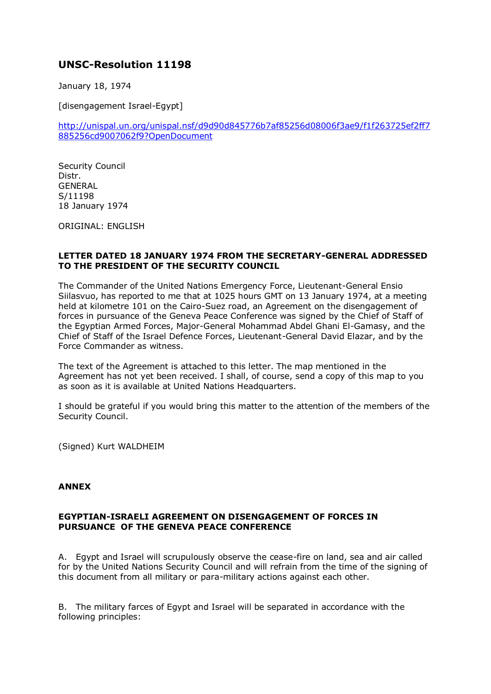## **UNSC-Resolution 11198**

January 18, 1974

[disengagement Israel-Egypt]

[http://unispal.un.org/unispal.nsf/d9d90d845776b7af85256d08006f3ae9/f1f263725ef2ff7](http://unispal.un.org/unispal.nsf/d9d90d845776b7af85256d08006f3ae9/f1f263725ef2ff7885256cd9007062f9?OpenDocument) [885256cd9007062f9?OpenDocument](http://unispal.un.org/unispal.nsf/d9d90d845776b7af85256d08006f3ae9/f1f263725ef2ff7885256cd9007062f9?OpenDocument)

Security Council Distr. **GENERAL** S/11198 18 January 1974

ORIGINAL: ENGLISH

## **LETTER DATED 18 JANUARY 1974 FROM THE SECRETARY-GENERAL ADDRESSED TO THE PRESIDENT OF THE SECURITY COUNCIL**

The Commander of the United Nations Emergency Force, Lieutenant-General Ensio Siilasvuo, has reported to me that at 1025 hours GMT on 13 January 1974, at a meeting held at kilometre 101 on the Cairo-Suez road, an Agreement on the disengagement of forces in pursuance of the Geneva Peace Conference was signed by the Chief of Staff of the Egyptian Armed Forces, Major-General Mohammad Abdel Ghani El-Gamasy, and the Chief of Staff of the Israel Defence Forces, Lieutenant-General David Elazar, and by the Force Commander as witness.

The text of the Agreement is attached to this letter. The map mentioned in the Agreement has not yet been received. I shall, of course, send a copy of this map to you as soon as it is available at United Nations Headquarters.

I should be grateful if you would bring this matter to the attention of the members of the Security Council.

(Signed) Kurt WALDHEIM

## **ANNEX**

## **EGYPTIAN-ISRAELI AGREEMENT ON DISENGAGEMENT OF FORCES IN PURSUANCE OF THE GENEVA PEACE CONFERENCE**

A. Egypt and Israel will scrupulously observe the cease-fire on land, sea and air called for by the United Nations Security Council and will refrain from the time of the signing of this document from all military or para-military actions against each other.

B. The military farces of Egypt and Israel will be separated in accordance with the following principles: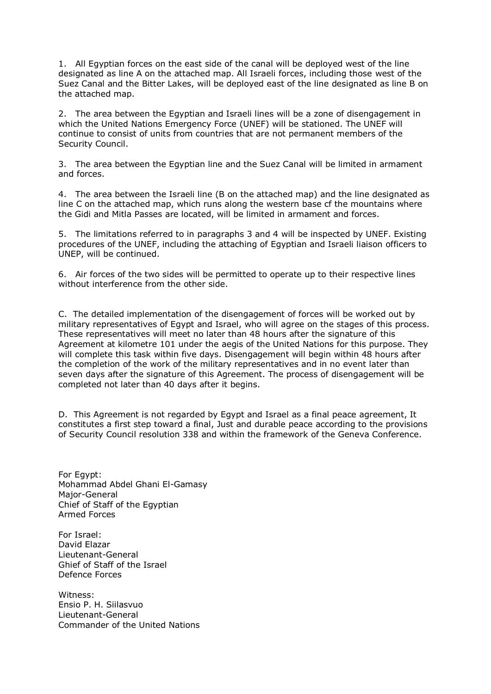1. All Egyptian forces on the east side of the canal will be deployed west of the line designated as line A on the attached map. All Israeli forces, including those west of the Suez Canal and the Bitter Lakes, will be deployed east of the line designated as line B on the attached map.

2. The area between the Egyptian and Israeli lines will be a zone of disengagement in which the United Nations Emergency Force (UNEF) will be stationed. The UNEF will continue to consist of units from countries that are not permanent members of the Security Council.

3. The area between the Egyptian line and the Suez Canal will be limited in armament and forces.

4. The area between the Israeli line (B on the attached map) and the line designated as line C on the attached map, which runs along the western base cf the mountains where the Gidi and Mitla Passes are located, will be limited in armament and forces.

5. The limitations referred to in paragraphs 3 and 4 will be inspected by UNEF. Existing procedures of the UNEF, including the attaching of Egyptian and Israeli liaison officers to UNEP, will be continued.

6. Air forces of the two sides will be permitted to operate up to their respective lines without interference from the other side.

C. The detailed implementation of the disengagement of forces will be worked out by military representatives of Egypt and Israel, who will agree on the stages of this process. These representatives will meet no later than 48 hours after the signature of this Agreement at kilometre 101 under the aegis of the United Nations for this purpose. They will complete this task within five days. Disengagement will begin within 48 hours after the completion of the work of the military representatives and in no event later than seven days after the signature of this Agreement. The process of disengagement will be completed not later than 40 days after it begins.

D. This Agreement is not regarded by Egypt and Israel as a final peace agreement, It constitutes a first step toward a final, Just and durable peace according to the provisions of Security Council resolution 338 and within the framework of the Geneva Conference.

For Egypt: Mohammad Abdel Ghani El-Gamasy Major-General Chief of Staff of the Egyptian Armed Forces

For Israel: David Elazar Lieutenant-General Ghief of Staff of the Israel Defence Forces

Witness: Ensio P. H. Siilasvuo Lieutenant-General Commander of the United Nations